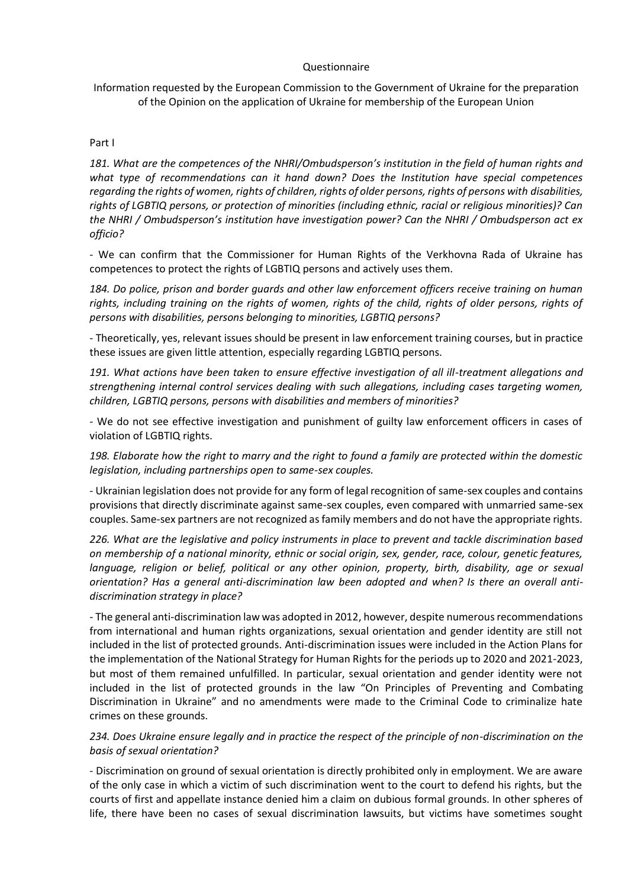## Questionnaire

Information requested by the European Commission to the Government of Ukraine for the preparation of the Opinion on the application of Ukraine for membership of the European Union

## Part I

*181. What are the competences of the NHRI/Ombudsperson's institution in the field of human rights and what type of recommendations can it hand down? Does the Institution have special competences regarding the rights of women, rights of children, rights of older persons, rights of persons with disabilities, rights of LGBTIQ persons, or protection of minorities (including ethnic, racial or religious minorities)? Can the NHRI / Ombudsperson's institution have investigation power? Can the NHRI / Ombudsperson act ex officio?*

- We can confirm that the Commissioner for Human Rights of the Verkhovna Rada of Ukraine has competences to protect the rights of LGBTIQ persons and actively uses them.

*184. Do police, prison and border guards and other law enforcement officers receive training on human rights, including training on the rights of women, rights of the child, rights of older persons, rights of persons with disabilities, persons belonging to minorities, LGBTIQ persons?*

- Theoretically, yes, relevant issues should be present in law enforcement training courses, but in practice these issues are given little attention, especially regarding LGBTIQ persons.

*191. What actions have been taken to ensure effective investigation of all ill-treatment allegations and strengthening internal control services dealing with such allegations, including cases targeting women, children, LGBTIQ persons, persons with disabilities and members of minorities?*

- We do not see effective investigation and punishment of guilty law enforcement officers in cases of violation of LGBTIQ rights.

*198. Elaborate how the right to marry and the right to found a family are protected within the domestic legislation, including partnerships open to same-sex couples.*

- Ukrainian legislation does not provide for any form of legal recognition of same-sex couples and contains provisions that directly discriminate against same-sex couples, even compared with unmarried same-sex couples. Same-sex partners are not recognized as family members and do not have the appropriate rights.

*226. What are the legislative and policy instruments in place to prevent and tackle discrimination based on membership of a national minority, ethnic or social origin, sex, gender, race, colour, genetic features, language, religion or belief, political or any other opinion, property, birth, disability, age or sexual orientation? Has a general anti-discrimination law been adopted and when? Is there an overall antidiscrimination strategy in place?*

- The general anti-discrimination law was adopted in 2012, however, despite numerous recommendations from international and human rights organizations, sexual orientation and gender identity are still not included in the list of protected grounds. Anti-discrimination issues were included in the Action Plans for the implementation of the National Strategy for Human Rights for the periods up to 2020 and 2021-2023, but most of them remained unfulfilled. In particular, sexual orientation and gender identity were not included in the list of protected grounds in the law "On Principles of Preventing and Combating Discrimination in Ukraine" and no amendments were made to the Criminal Code to criminalize hate crimes on these grounds.

*234. Does Ukraine ensure legally and in practice the respect of the principle of non-discrimination on the basis of sexual orientation?*

- Discrimination on ground of sexual orientation is directly prohibited only in employment. We are aware of the only case in which a victim of such discrimination went to the court to defend his rights, but the courts of first and appellate instance denied him a claim on dubious formal grounds. In other spheres of life, there have been no cases of sexual discrimination lawsuits, but victims have sometimes sought